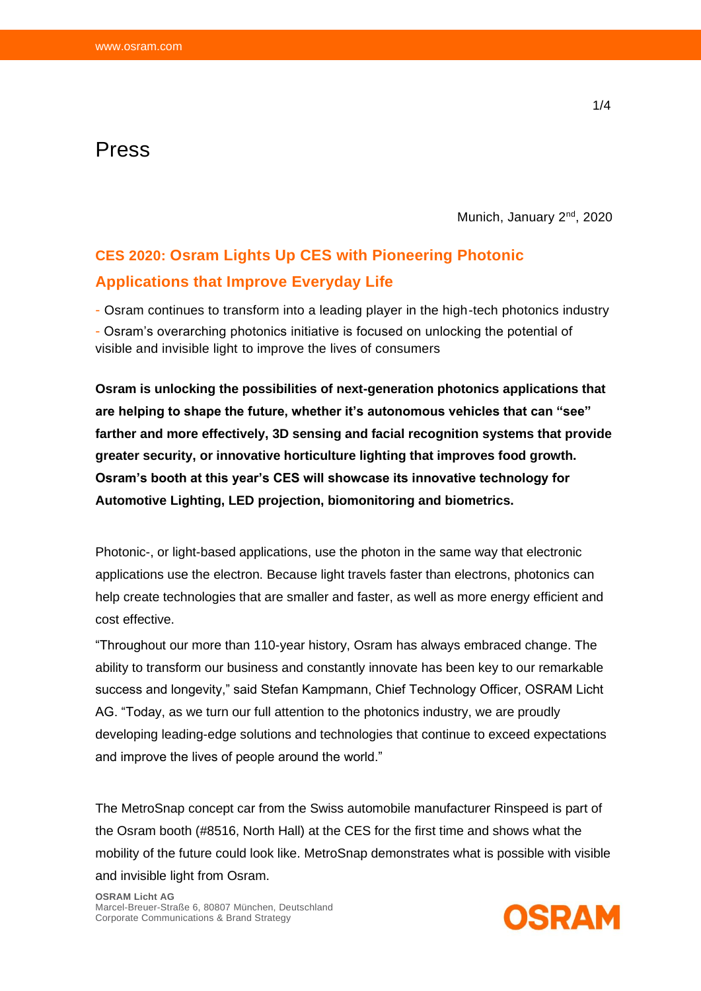## Press

Munich, January 2<sup>nd</sup>, 2020

## **CES 2020: Osram Lights Up CES with Pioneering Photonic Applications that Improve Everyday Life**

- Osram continues to transform into a leading player in the high-tech photonics industry - Osram's overarching photonics initiative is focused on unlocking the potential of visible and invisible light to improve the lives of consumers

**Osram is unlocking the possibilities of next-generation photonics applications that are helping to shape the future, whether it's autonomous vehicles that can "see" farther and more effectively, 3D sensing and facial recognition systems that provide greater security, or innovative horticulture lighting that improves food growth. Osram's booth at this year's CES will showcase its innovative technology for Automotive Lighting, LED projection, biomonitoring and biometrics.**

Photonic-, or light-based applications, use the photon in the same way that electronic applications use the electron. Because light travels faster than electrons, photonics can help create technologies that are smaller and faster, as well as more energy efficient and cost effective.

"Throughout our more than 110-year history, Osram has always embraced change. The ability to transform our business and constantly innovate has been key to our remarkable success and longevity," said Stefan Kampmann, Chief Technology Officer, OSRAM Licht AG. "Today, as we turn our full attention to the photonics industry, we are proudly developing leading-edge solutions and technologies that continue to exceed expectations and improve the lives of people around the world."

The MetroSnap concept car from the Swiss automobile manufacturer Rinspeed is part of the Osram booth (#8516, North Hall) at the CES for the first time and shows what the mobility of the future could look like. MetroSnap demonstrates what is possible with visible and invisible light from Osram.

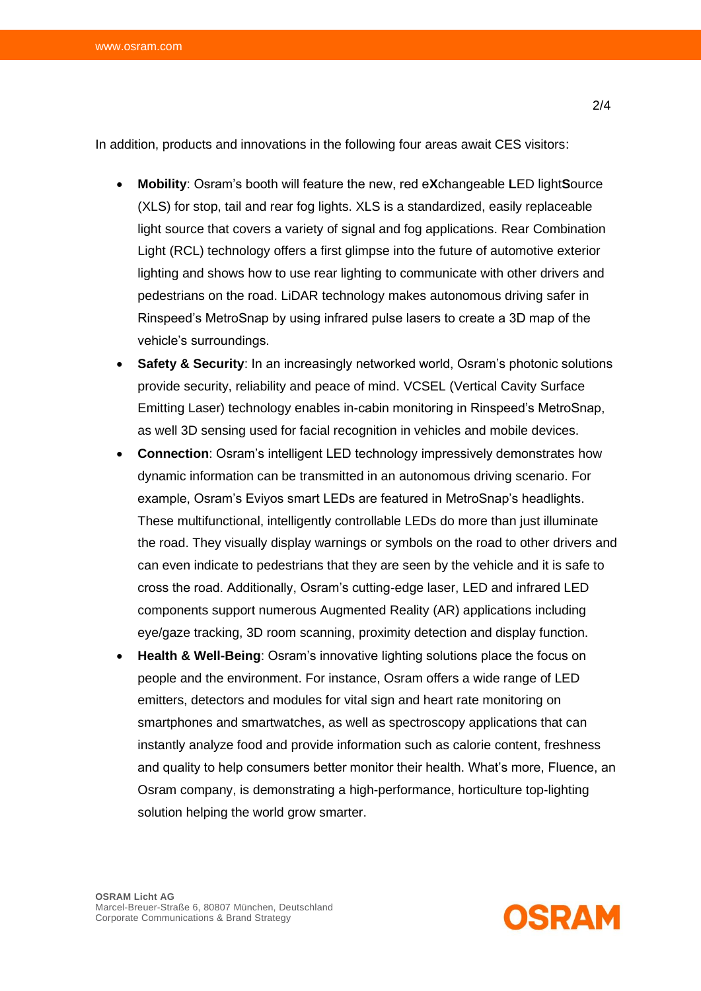In addition, products and innovations in the following four areas await CES visitors:

- **Mobility**: Osram's booth will feature the new, red e**X**changeable **L**ED light**S**ource (XLS) for stop, tail and rear fog lights. XLS is a standardized, easily replaceable light source that covers a variety of signal and fog applications. Rear Combination Light (RCL) technology offers a first glimpse into the future of automotive exterior lighting and shows how to use rear lighting to communicate with other drivers and pedestrians on the road. LiDAR technology makes autonomous driving safer in Rinspeed's MetroSnap by using infrared pulse lasers to create a 3D map of the vehicle's surroundings.
- **Safety & Security**: In an increasingly networked world, Osram's photonic solutions provide security, reliability and peace of mind. VCSEL (Vertical Cavity Surface Emitting Laser) technology enables in-cabin monitoring in Rinspeed's MetroSnap, as well 3D sensing used for facial recognition in vehicles and mobile devices.
- **Connection**: Osram's intelligent LED technology impressively demonstrates how dynamic information can be transmitted in an autonomous driving scenario. For example, Osram's Eviyos smart LEDs are featured in MetroSnap's headlights. These multifunctional, intelligently controllable LEDs do more than just illuminate the road. They visually display warnings or symbols on the road to other drivers and can even indicate to pedestrians that they are seen by the vehicle and it is safe to cross the road. Additionally, Osram's cutting-edge laser, LED and infrared LED components support numerous Augmented Reality (AR) applications including eye/gaze tracking, 3D room scanning, proximity detection and display function.
- **Health & Well-Being**: Osram's innovative lighting solutions place the focus on people and the environment. For instance, Osram offers a wide range of LED emitters, detectors and modules for vital sign and heart rate monitoring on smartphones and smartwatches, as well as spectroscopy applications that can instantly analyze food and provide information such as calorie content, freshness and quality to help consumers better monitor their health. What's more, Fluence, an Osram company, is demonstrating a high-performance, horticulture top-lighting solution helping the world grow smarter.



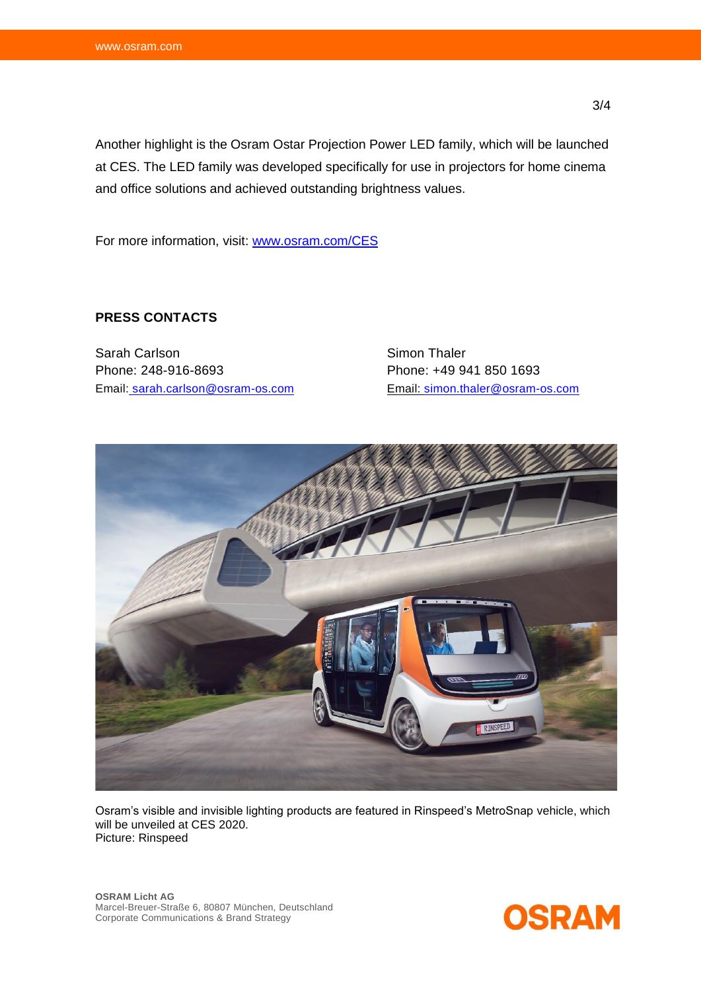Another highlight is the Osram Ostar Projection Power LED family, which will be launched at CES. The LED family was developed specifically for use in projectors for home cinema and office solutions and achieved outstanding brightness values.

For more information, visit: [www.osram.com/CES](http://www.osram.com/CES)

## **PRESS CONTACTS**

Sarah Carlson Sarah Carlson Sarah Carlson Simon Thaler Phone: 248-916-8693 Phone: +49 941 850 1693 Email: [sarah.carlson@osram-os.com](mailto:simon.thaler@osram-os.com) Email: simon.thaler@osram-os.com



Osram's visible and invisible lighting products are featured in Rinspeed's MetroSnap vehicle, which will be unveiled at CES 2020. Picture: Rinspeed

**OSRAM Licht AG** Marcel-Breuer-Straße 6, 80807 München, Deutschland Corporate Communications & Brand Strategy